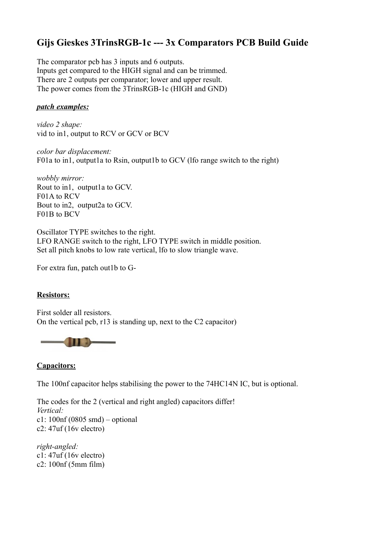# **Gijs Gieskes 3TrinsRGB-1c --- 3x Comparators PCB Build Guide**

The comparator pcb has 3 inputs and 6 outputs. Inputs get compared to the HIGH signal and can be trimmed. There are 2 outputs per comparator; lower and upper result. The power comes from the 3TrinsRGB-1c (HIGH and GND)

#### *patch examples:*

*video 2 shape:* vid to in1, output to RCV or GCV or BCV

*color bar displacement:* F01a to in1, output1a to Rsin, output1b to GCV (lfo range switch to the right)

*wobbly mirror:* Rout to in1, output1a to GCV. F01A to RCV Bout to in2, output2a to GCV. F01B to BCV

Oscillator TYPE switches to the right. LFO RANGE switch to the right, LFO TYPE switch in middle position. Set all pitch knobs to low rate vertical, lfo to slow triangle wave.

For extra fun, patch out1b to G-

#### **Resistors:**

First solder all resistors. On the vertical pcb, r13 is standing up, next to the C2 capacitor)



#### **Capacitors:**

The 100nf capacitor helps stabilising the power to the 74HC14N IC, but is optional.

The codes for the 2 (vertical and right angled) capacitors differ! *Vertical:* c1: 100nf (0805 smd) – optional c2: 47uf (16v electro)

*right-angled:* c1: 47uf (16v electro) c2: 100nf (5mm film)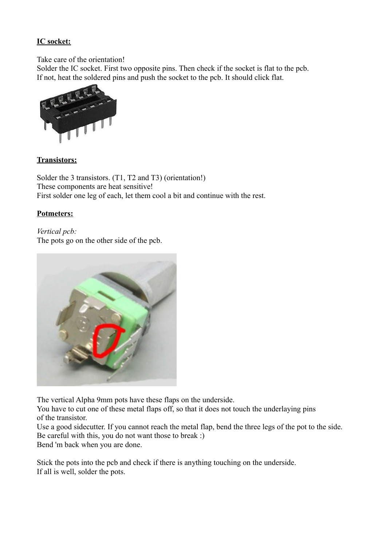## **IC socket:**

Take care of the orientation!

Solder the IC socket. First two opposite pins. Then check if the socket is flat to the pcb. If not, heat the soldered pins and push the socket to the pcb. It should click flat.



### **Transistors:**

Solder the 3 transistors. (T1, T2 and T3) (orientation!) These components are heat sensitive! First solder one leg of each, let them cool a bit and continue with the rest.

#### **Potmeters:**

*Vertical pcb:* The pots go on the other side of the pcb.



The vertical Alpha 9mm pots have these flaps on the underside.

You have to cut one of these metal flaps off, so that it does not touch the underlaying pins of the transistor.

Use a good sidecutter. If you cannot reach the metal flap, bend the three legs of the pot to the side. Be careful with this, you do not want those to break :)

Bend 'm back when you are done.

Stick the pots into the pcb and check if there is anything touching on the underside. If all is well, solder the pots.